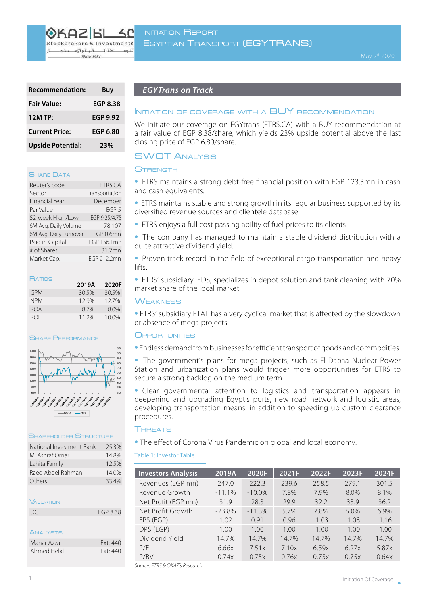OKAZIEI Stockbrokers & Investments

البة والإسا  $114$ Since 1984

| <b>Recommendation:</b>   | Buy             |
|--------------------------|-----------------|
| <b>Fair Value:</b>       | <b>EGP 8.38</b> |
| <b>12M TP:</b>           | <b>EGP 9.92</b> |
| <b>Current Price:</b>    | <b>EGP 6.80</b> |
| <b>Upside Potential:</b> | 23%             |

### **SHARE DATA**

| Reuter's code          | ETRS.CA          |
|------------------------|------------------|
| Sector                 | Transportation   |
| <b>Financial Year</b>  | December         |
| Par Value              | FGP <sub>5</sub> |
| 52-week High/Low       | EGP 9.25/4.75    |
| 6M Avg. Daily Volume   | 78.107           |
| 6M Avg. Daily Turnover | FGP 0.6mn        |
| Paid in Capital        | EGP 156.1mn      |
| # of Shares            | 31.2mn           |
| Market Cap.            | EGP 212.2mn      |

| 2019A | 2020F |
|-------|-------|
| 30.5% | 30.5% |
| 12.9% | 127%  |
| 8.7%  | 8.0%  |
| 11 2% | 10.0% |
|       |       |

#### **SHARE PERFORMANCE**



## SHAREHOLDER STRUCTUR

| National Investment Bank | 25.3%    |
|--------------------------|----------|
| M. Ashraf Omar           | 14.8%    |
| Lahita Family            | 12.5%    |
| Raed Abdel Rahman        | 14.0%    |
| Others                   | 33.4%    |
|                          |          |
| <b><i>VALUATION</i></b>  |          |
| DCF                      | FGP 8.38 |
|                          |          |
| ANALYSTS                 |          |
| Manar Azzam              | Fxt: 440 |
| Ahmed Helal              | Ext: 440 |

# **EGYTrans on Track**

# INITIATION OF COVERAGE WITH A BUY RECOMMENDATION

We initiate our coverage on EGYtrans (ETRS.CA) with a BUY recommendation at a fair value of EGP 8.38/share, which yields 23% upside potential above the last closing price of EGP 6.80/ share.

# **SWOT ANALYSIS**

# **STRENGTH**

• ETRS maintains a strong debt-free financial position with EGP 123.3mn in cash and cash equivalents.

**ETRS** maintains stable and strong growth in its regular business supported by its diversified revenue sources and clientele database.

- ETRS enjoys a full cost passing ability of fuel prices to its clients.
- The company has managed to maintain a stable dividend distribution with a quite attractive dividend vield.

• Proven track record in the field of exceptional cargo transportation and heavy lifts.

• ETRS' subsidiary, EDS, specializes in depot solution and tank cleaning with 70% market share of the local market.

# **WEAKNESS**

**• ETRS'** subsidiary ETAL has a very cyclical market that is affected by the slowdown or absence of mega projects.

### **OPPORTUNITIES**

• Endless demand from businesses for efficient transport of goods and commodities.

• The government's plans for mega projects, such as El-Dabaa Nuclear Power Station and urbanization plans would trigger more opportunities for ETRS to secure a strong backlog on the medium term.

• Clear governmental attention to logistics and transportation appears in deepening and upgrading Egypt's ports, new road network and logistic areas, developing transportation means, in addition to speeding up custom clearance .procedures

# **THREATS**

• The effect of Corona Virus Pandemic on global and local economy.

# Table 1: Investor Table

| <b>Investors Analysis</b>      | 2019A    | 2020F     | 2021F | 2022F | 2023F | 2024F |
|--------------------------------|----------|-----------|-------|-------|-------|-------|
| Revenues (EGP mn)              | 247.0    | 222.3     | 239.6 | 258.5 | 279.1 | 301.5 |
| Revenue Growth                 | $-11.1%$ | $-10.0\%$ | 7.8%  | 7.9%  | 8.0%  | 8.1%  |
| Net Profit (EGP mn)            | 319      | 28.3      | 29.9  | 32.2  | 33.9  | 36.2  |
| Net Profit Growth              | $-23.8%$ | $-11.3%$  | 5.7%  | 7.8%  | 5.0%  | 6.9%  |
| EPS (EGP)                      | 1.02     | 0.91      | 0.96  | 1.03  | 1.08  | 1.16  |
| DPS (EGP)                      | 1.00     | 1.00      | 1.00  | 1.00  | 1.00  | 1.00  |
| Dividend Yield                 | 14.7%    | 14.7%     | 14.7% | 14.7% | 14.7% | 14.7% |
| P/F                            | 6.66x    | 7.51x     | 7.10x | 6.59x | 6.27x | 5.87x |
| P/BV                           | 0.74x    | 0.75x     | 0.76x | 0.75x | 0.75x | 0.64x |
| Source: ETRS & OKAZ's Research |          |           |       |       |       |       |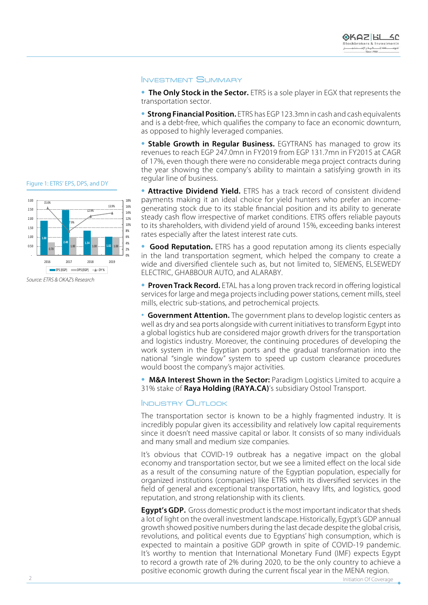# **INVESTMENT SUMMARY**

**• The Only Stock in the Sector.** ETRS is a sole player in EGX that represents the transportation sector.

**• Strong Financial Position.** ETRS has EGP 123.3 mn in cash and cash equivalents and is a debt-free, which qualifies the company to face an economic downturn, as opposed to highly leveraged companies.

**• Stable Growth in Regular Business.** EGYTRANS has managed to grow its revenues to reach EGP 247.0mn in FY2019 from EGP 131.7mn in FY2015 at CAGR of 17%, even though there were no considerable mega project contracts during the year showing the company's ability to maintain a satisfying growth in its regular line of business.

 **1.88** 1.00 **1.00** 1.00 **1.00** 1.00 **1.00** 1.00 15.6% 7.9% 12.9% 13.9% 0% 2% 4% 6% 8% 10% 12% 14% 16% 18% -  $0.50$  1.00 1.50 2.00 2.50 3.00 2019 2018 2017 2016  $EPS$ (EGP) DPS(EGP)  $\longrightarrow$ DY%

Figure 1: ETRS' EPS, DPS, and DY

*<u>Source: FTRS & OKAZ's Research</u>* 

• **Attractive Dividend Yield.** ETRS has a track record of consistent dividend generating stock due to its stable financial position and its ability to generate payments making it an ideal choice for yield hunters who prefer an incomesteady cash flow irrespective of market conditions. ETRS offers reliable payouts to its shareholders, with dividend yield of around 15%, exceeding banks interest rates especially after the latest interest rate cuts.

• Good Reputation. ETRS has a good reputation among its clients especially in the land transportation segment, which helped the company to create a wide and diversified clientele such as, but not limited to, SIEMENS, ELSEWEDY ELECTRIC, GHABBOUR AUTO, and ALARABY.

**• Proven Track Record.** ETAL has a long proven track record in offering logistical services for large and mega projects including power stations, cement mills, steel mills, electric sub-stations, and petrochemical projects.

• Government Attention. The government plans to develop logistic centers as well as dry and sea ports alongside with current initiatives to transform Egypt into a global logistics hub are considered major growth drivers for the transportation and logistics industry. Moreover, the continuing procedures of developing the work system in the Egyptian ports and the gradual transformation into the national "single window" system to speed up custom clearance procedures would boost the company's major activities.

**• M&A Interest Shown in the Sector:** Paradigm Logistics Limited to acquire a 31% stake of **Raya Holding (RAYA.CA)**'s subsidiary Ostool Transport.

#### **INDUSTRY OUTLOOK**

The transportation sector is known to be a highly fragmented industry. It is incredibly popular given its accessibility and relatively low capital requirements since it doesn't need massive capital or labor. It consists of so many individuals and many small and medium size companies.

It's obvious that COVID-19 outbreak has a negative impact on the global economy and transportation sector, but we see a limited effect on the local side as a result of the consuming nature of the Egyptian population, especially for organized institutions (companies) like ETRS with its diversified services in the field of general and exceptional transportation, heavy lifts, and logistics, good reputation, and strong relationship with its clients.

**Egypt's GDP.** Gross domestic product is the most important indicator that sheds a lot of light on the overall investment landscape. Historically, Egypt's GDP annual growth showed positive numbers during the last decade despite the global crisis, revolutions, and political events due to Egyptians' high consumption, which is expected to maintain a positive GDP growth in spite of COVID-19 pandemic. It's worthy to mention that International Monetary Fund (IMF) expects Egypt to record a growth rate of 2% during 2020, to be the only country to achieve a positive economic growth during the current fiscal year in the MENA region.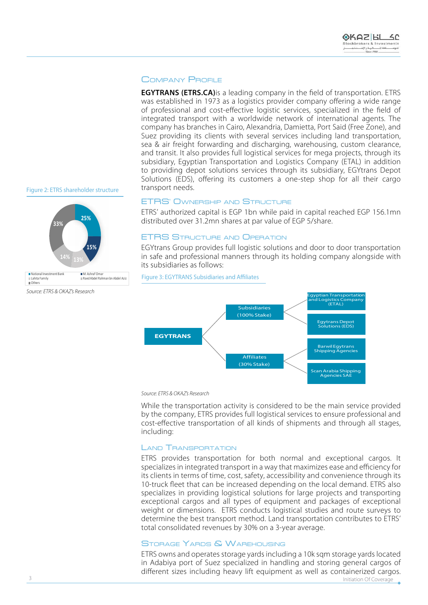# COMPANY PROFILE

**EGYTRANS (ETRS.CA)** is a leading company in the field of transportation. ETRS was established in 1973 as a logistics provider company offering a wide range of professional and cost-effective logistic services, specialized in the field of integrated transport with a worldwide network of international agents. The company has branches in Cairo, Alexandria, Damietta, Port Said (Free Zone), and Suez providing its clients with several services including land transportation, sea & air freight forwarding and discharging, warehousing, custom clearance, and transit. It also provides full logistical services for mega projects, through its subsidiary, Egyptian Transportation and Logistics Company (ETAL) in addition to providing depot solutions services through its subsidiary, EGYtrans Depot Solutions (EDS), offering its customers a one-step shop for all their cargo transport needs.

Figure 2: ETRS shareholder structure



Source: ETRS & OKAZ's Research

### **ETRS' OWNERSHIP AND STRUCTURE**

ETRS' authorized capital is EGP 1bn while paid in capital reached EGP 156.1mn distributed over 31.2 mn shares at par value of EGP 5/share.

# **ETRS STRUCTURE AND OPERATION**

Figure 3: EGYTRANS Subsidiaries and Affiliates

EGYtrans Group provides full logistic solutions and door to door transportation in safe and professional manners through its holding company alongside with its subsidiaries as follows:



#### *<u>Source: ETRS & OKAZ's Research</u>*

While the transportation activity is considered to be the main service provided by the company, ETRS provides full logistical services to ensure professional and cost-effective transportation of all kinds of shipments and through all stages, including:

#### LAND **TRANSPORTATION**

ETRS provides transportation for both normal and exceptional cargos. It specializes in integrated transport in a way that maximizes ease and efficiency for its clients in terms of time, cost, safety, accessibility and convenience through its 10-truck fleet that can be increased depending on the local demand. ETRS also specializes in providing logistical solutions for large projects and transporting exceptional cargos and all types of equipment and packages of exceptional weight or dimensions. ETRS conducts logistical studies and route surveys to determine the best transport method. Land transportation contributes to ETRS' total consolidated revenues by 30% on a 3-year average.

## STORAGE YARDS & WAREHOUSING

ETRS owns and operates storage yards including a 10k sqm storage yards located in Adabiya port of Suez specialized in handling and storing general cargos of different sizes including heavy lift equipment as well as containerized cargos.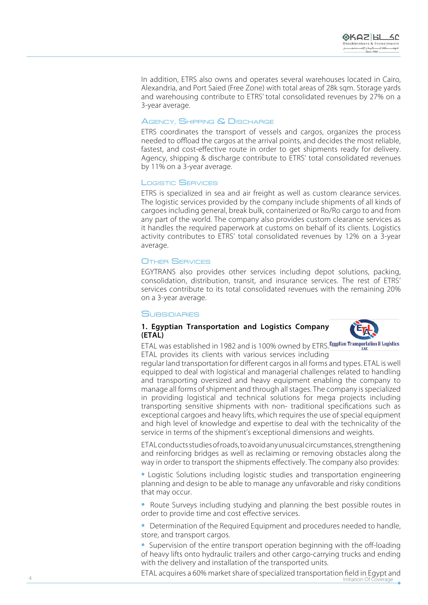In addition, ETRS also owns and operates several warehouses located in Cairo, Alexandria, and Port Saied (Free Zone) with total areas of 28k sqm. Storage yards and warehousing contribute to ETRS' total consolidated revenues by 27% on a

# 3-year average.<br><mark>A</mark>gency, Shipping & Discharge

ETRS coordinates the transport of vessels and cargos, organizes the process needed to offload the cargos at the arrival points, and decides the most reliable, fastest, and cost-effective route in order to get shipments ready for delivery. Agency, shipping & discharge contribute to ETRS' total consolidated revenues by 11% on a 3-year average.<br>Logistic Se<del>n</del>vices

ETRS is specialized in sea and air freight as well as custom clearance services. The logistic services provided by the company include shipments of all kinds of cargoes including general, break bulk, containerized or Ro/Ro cargo to and from any part of the world. The company also provides custom clearance services as it handles the required paperwork at customs on behalf of its clients. Logistics activity contributes to ETRS' total consolidated revenues by 12% on a 3-year average.

#### SERVICES r

EGYTRANS also provides other services including depot solutions, packing, consolidation, distribution, transit, and insurance services. The rest of ETRS' services contribute to its total consolidated revenues with the remaining 20% on a 3-year average.<br>**S**UBSIDIARIES

## **1. Eqyptian Transportation and Logistics Company (ETAL(**



ETAL was established in 1982 and is 100% owned by ETRS. Egyptian Transportation & Logistics ETAL provides its clients with various services including

regular land transportation for different cargos in all forms and types. ETAL is well equipped to deal with logistical and managerial challenges related to handling and transporting oversized and heavy equipment enabling the company to manage all forms of shipment and through all stages. The company is specialized in providing logistical and technical solutions for mega projects including transporting sensitive shipments with non- traditional specifications such as exceptional cargoes and heavy lifts, which requires the use of special equipment and high level of knowledge and expertise to deal with the technicality of the service in terms of the shipment's exceptional dimensions and weights.

ETAL conducts studies of roads, to avoid any unusual circumstances, strengthening and reinforcing bridges as well as reclaiming or removing obstacles along the way in order to transport the shipments effectively. The company also provides:<br>• Logistic Solutions including logistic studies and transportation engineering

planning and design to be able to manage any unfavorable and risky conditions

that may occur.<br>• Route Surveys including studying and planning the best possible routes in<br>order to provide time and cost effective services.

• Determination of the Required Equipment and procedures needed to handle. loading-off the state the state state top-state prote state the set-loading **•**<br>• Supervision of the entire transport operation beginning with the off-loading

of heavy lifts onto hydraulic trailers and other cargo-carrying trucks and ending with the delivery and installation of the transported units.

ETAL acquires a 60% market share of specialized transportation field in Eqypt and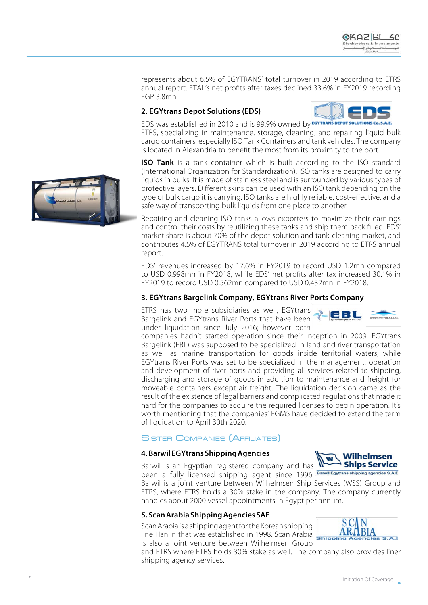represents about 6.5% of EGYTRANS' total turnover in 2019 according to ETRS annual report. ETAL's net profits after taxes declined 33.6% in FY2019 recording  $EGP$  3.8 $mn$ .

# **2. EGYtrans Depot Solutions (EDS)**

EDS was established in 2010 and is 99.9% owned by **EGYTRANS DEPOT SOLUTI** ETRS, specializing in maintenance, storage, cleaning, and repairing liguid bulk cargo containers, especially ISO Tank Containers and tank vehicles. The company is located in Alexandria to benefit the most from its proximity to the port.

**ISO Tank** is a tank container which is built according to the ISO standard (International Organization for Standardization). ISO tanks are designed to carry liquids in bulks. It is made of stainless steel and is surrounded by various types of protective layers. Different skins can be used with an ISO tank depending on the type of bulk cargo it is carrying. ISO tanks are highly reliable, cost-effective, and a safe way of transporting bulk liquids from one place to another.

Repairing and cleaning ISO tanks allows exporters to maximize their earnings and control their costs by reutilizing these tanks and ship them back filled. EDS' market share is about 70% of the depot solution and tank-cleaning market, and contributes 4.5% of EGYTRANS total turnover in 2019 according to ETRS annual report.

EDS' revenues increased by 17.6% in FY2019 to record USD 1.2mn compared to USD 0.998mn in FY2018, while EDS' net profits after tax increased 30.1% in FY 2019 to record USD 0.562mn compared to USD 0.432mn in FY 2018.

# **3. EGYtrans Bargelink Company, EGYtrans River Ports Company**

ETRS has two more subsidiaries as well, EGYtrans Bargelink and EGYtrans River Ports that have been under liquidation since July 2016; however both

companies hadn't started operation since their inception in 2009. EGYtrans Bargelink (EBL) was supposed to be specialized in land and river transportation as well as marine transportation for goods inside territorial waters, while EGYtrans River Ports was set to be specialized in the management, operation and development of river ports and providing all services related to shipping, discharging and storage of goods in addition to maintenance and freight for moveable containers except air freight. The liquidation decision came as the result of the existence of legal barriers and complicated regulations that made it hard for the companies to acquire the required licenses to begin operation. It's worth mentioning that the companies' EGMS have decided to extend the term

# of liquidation to April 30th 2020.<br><mark>S</mark>ister Companies (Affiliates)

# **4. Barwil EGYtrans Shipping Agencies**

Ships Service Barwil is an Egyptian registered company and has been a fully licensed shipping agent since 1996. Barwill Egytrans shipping agencies s.A.E

Barwil is a joint venture between Wilhelmsen Ship Services (WSS) Group and ETRS, where ETRS holds a 30% stake in the company. The company currently handles about 2000 vessel appointments in Egypt per annum.

# **5. Scan Arabia Shipping Agencies SAE**

Scan Arabia is a shipping agent for the Korean shipping Beary was a stample and spiritually in 1998. Scan Arabia is also a joint venture between Wilhelmsen Group

and ETRS where ETRS holds 30% stake as well. The company also provides liner shipping agency services.





EBL



Wilhelmsen

W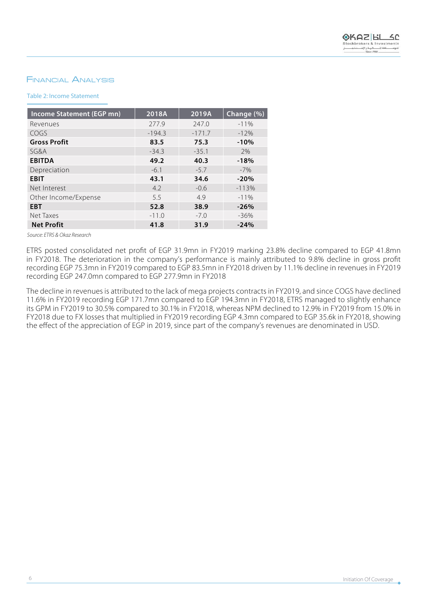# **FINANCIAL ANALYSIS**

## Table 2: Income Statement

| Income Statement (EGP mn) | 2018A    | 2019A    | Change (%) |
|---------------------------|----------|----------|------------|
| Revenues                  | 277.9    | 247.0    | $-11%$     |
| COGS                      | $-194.3$ | $-171.7$ | $-12%$     |
| <b>Gross Profit</b>       | 83.5     | 75.3     | $-10%$     |
| SG&A                      | $-34.3$  | $-35.1$  | 2%         |
| <b>EBITDA</b>             | 49.2     | 40.3     | $-18%$     |
| Depreciation              | $-6.1$   | $-5.7$   | $-7%$      |
| <b>EBIT</b>               | 43.1     | 34.6     | $-20%$     |
| Net Interest              | 4.2      | $-0.6$   | $-113%$    |
| Other Income/Expense      | 5.5      | 4.9      | $-11%$     |
| <b>EBT</b>                | 52.8     | 38.9     | $-26%$     |
| Net Taxes                 | $-11.0$  | $-7.0$   | $-36%$     |
| <b>Net Profit</b>         | 41.8     | 31.9     | $-24%$     |

*<u>Source: ETRS & Okaz Research</u>* 

ETRS posted consolidated net profit of EGP 31.9mn in FY2019 marking 23.8% decline compared to EGP 41.8mn in FY2018. The deterioration in the company's performance is mainly attributed to 9.8% decline in gross profit recording EGP 75.3mn in FY2019 compared to EGP 83.5mn in FY2018 driven by 11.1% decline in revenues in FY2019 recording EGP 247.0mn compared to EGP 277.9mn in FY2018

The decline in revenues is attributed to the lack of mega projects contracts in FY2019, and since COGS have declined 11.6% in FY2019 recording EGP 171.7mn compared to EGP 194.3mn in FY2018, ETRS managed to slightly enhance its GPM in FY2019 to 30.5% compared to 30.1% in FY2018, whereas NPM declined to 12.9% in FY2019 from 15.0% in FY2018 due to FX losses that multiplied in FY2019 recording EGP 4.3mn compared to EGP 35.6k in FY2018, showing the effect of the appreciation of EGP in 2019, since part of the company's revenues are denominated in USD.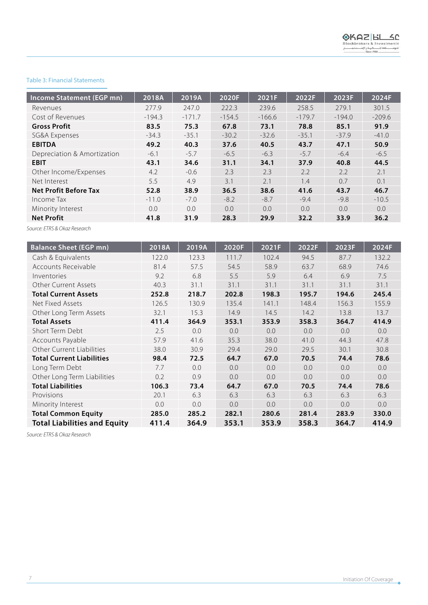#### Table 3: Financial Statements

| Income Statement (EGP mn)    | 2018A         | 2019A    | 2020F    | 2021F    | 2022F    | 2023F    | 2024F    |
|------------------------------|---------------|----------|----------|----------|----------|----------|----------|
| Revenues                     | 277.9         | 247.0    | 222.3    | 239.6    | 258.5    | 279.1    | 301.5    |
| Cost of Revenues             | $-194.3$      | $-171.7$ | $-154.5$ | $-166.6$ | $-179.7$ | $-194.0$ | $-209.6$ |
| <b>Gross Profit</b>          | 83.5          | 75.3     | 67.8     | 73.1     | 78.8     | 85.1     | 91.9     |
| SG&A Expenses                | $-34.3$       | $-35.1$  | $-30.2$  | $-32.6$  | $-35.1$  | $-37.9$  | $-41.0$  |
| <b>EBITDA</b>                | 49.2          | 40.3     | 37.6     | 40.5     | 43.7     | 47.1     | 50.9     |
| Depreciation & Amortization  | $-6.1$        | $-5.7$   | $-6.5$   | $-6.3$   | $-5.7$   | $-6.4$   | $-6.5$   |
| <b>EBIT</b>                  | 43.1          | 34.6     | 31.1     | 34.1     | 37.9     | 40.8     | 44.5     |
| Other Income/Expenses        | 4.2           | $-0.6$   | 2.3      | 2.3      | 2.2      | 2.2      | 2.1      |
| Net Interest                 | 5.5           | 4.9      | 3.1      | 2.1      | 1.4      | 0.7      | 0.1      |
| <b>Net Profit Before Tax</b> | 52.8          | 38.9     | 36.5     | 38.6     | 41.6     | 43.7     | 46.7     |
| Income Tax                   | $-11.0$       | $-7.0$   | $-8.2$   | $-8.7$   | $-9.4$   | $-9.8$   | $-10.5$  |
| Minority Interest            | $0.0^{\circ}$ | 0.0      | 0.0      | 0.0      | 0.0      | 0.0      | 0.0      |
| <b>Net Profit</b>            | 41.8          | 31.9     | 28.3     | 29.9     | 32.2     | 33.9     | 36.2     |

**Source: ETRS & Okaz Research** 

I

| <b>Balance Sheet (EGP mn)</b>       | 2018A | 2019A | 2020F | 2021F | 2022F | 2023F | 2024F |
|-------------------------------------|-------|-------|-------|-------|-------|-------|-------|
| Cash & Equivalents                  | 122.0 | 123.3 | 111.7 | 102.4 | 94.5  | 87.7  | 132.2 |
| Accounts Receivable                 | 81.4  | 57.5  | 54.5  | 58.9  | 63.7  | 68.9  | 74.6  |
| Inventories                         | 9.2   | 6.8   | 5.5   | 5.9   | 6.4   | 6.9   | 7.5   |
| <b>Other Current Assets</b>         | 40.3  | 31.1  | 31.1  | 31.1  | 31.1  | 31.1  | 31.1  |
| <b>Total Current Assets</b>         | 252.8 | 218.7 | 202.8 | 198.3 | 195.7 | 194.6 | 245.4 |
| Net Fixed Assets                    | 126.5 | 130.9 | 135.4 | 141.1 | 148.4 | 156.3 | 155.9 |
| Other Long Term Assets              | 32.1  | 15.3  | 14.9  | 14.5  | 14.2  | 13.8  | 13.7  |
| <b>Total Assets</b>                 | 411.4 | 364.9 | 353.1 | 353.9 | 358.3 | 364.7 | 414.9 |
| Short Term Debt                     | 2.5   | 0.0   | 0.0   | 0.0   | 0.0   | 0.0   | 0.0   |
| Accounts Payable                    | 57.9  | 41.6  | 35.3  | 38.0  | 41.0  | 44.3  | 47.8  |
| Other Current Liabilities           | 38.0  | 30.9  | 29.4  | 29.0  | 29.5  | 30.1  | 30.8  |
| <b>Total Current Liabilities</b>    | 98.4  | 72.5  | 64.7  | 67.0  | 70.5  | 74.4  | 78.6  |
| Long Term Debt                      | 7.7   | 0.0   | 0.0   | 0.0   | 0.0   | 0.0   | 0.0   |
| Other Long Term Liabilities         | 0.2   | 0.9   | 0.0   | 0.0   | 0.0   | 0.0   | 0.0   |
| <b>Total Liabilities</b>            | 106.3 | 73.4  | 64.7  | 67.0  | 70.5  | 74.4  | 78.6  |
| Provisions                          | 20.1  | 6.3   | 6.3   | 6.3   | 6.3   | 6.3   | 6.3   |
| Minority Interest                   | 0.0   | 0.0   | 0.0   | 0.0   | 0.0   | 0.0   | 0.0   |
| <b>Total Common Equity</b>          | 285.0 | 285.2 | 282.1 | 280.6 | 281.4 | 283.9 | 330.0 |
| <b>Total Liabilities and Equity</b> | 411.4 | 364.9 | 353.1 | 353.9 | 358.3 | 364.7 | 414.9 |

**Source: ETRS & Okaz Research**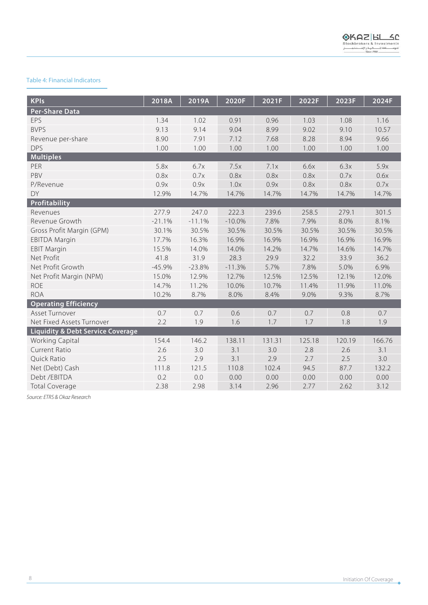# Table 4: Financial Indicators

| <b>KPIs</b>                                  | 2018A    | 2019A    | 2020F    | 2021F  | 2022F  | 2023F  | 2024F  |
|----------------------------------------------|----------|----------|----------|--------|--------|--------|--------|
| <b>Per-Share Data</b>                        |          |          |          |        |        |        |        |
| EPS                                          | 1.34     | 1.02     | 0.91     | 0.96   | 1.03   | 1.08   | 1.16   |
| <b>BVPS</b>                                  | 9.13     | 9.14     | 9.04     | 8.99   | 9.02   | 9.10   | 10.57  |
| Revenue per-share                            | 8.90     | 7.91     | 7.12     | 7.68   | 8.28   | 8.94   | 9.66   |
| <b>DPS</b>                                   | 1.00     | 1.00     | 1.00     | 1.00   | 1.00   | 1.00   | 1.00   |
| <b>Multiples</b>                             |          |          |          |        |        |        |        |
| PER                                          | 5.8x     | 6.7x     | 7.5x     | 7.1x   | 6.6x   | 6.3x   | 5.9x   |
| PBV                                          | 0.8x     | 0.7x     | 0.8x     | 0.8x   | 0.8x   | 0.7x   | 0.6x   |
| P/Revenue                                    | 0.9x     | 0.9x     | 1.0x     | 0.9x   | 0.8x   | 0.8x   | 0.7x   |
| DY                                           | 12.9%    | 14.7%    | 14.7%    | 14.7%  | 14.7%  | 14.7%  | 14.7%  |
| Profitability                                |          |          |          |        |        |        |        |
| Revenues                                     | 277.9    | 247.0    | 222.3    | 239.6  | 258.5  | 279.1  | 301.5  |
| Revenue Growth                               | $-21.1%$ | $-11.1%$ | $-10.0%$ | 7.8%   | 7.9%   | 8.0%   | 8.1%   |
| Gross Profit Margin (GPM)                    | 30.1%    | 30.5%    | 30.5%    | 30.5%  | 30.5%  | 30.5%  | 30.5%  |
| <b>EBITDA Margin</b>                         | 17.7%    | 16.3%    | 16.9%    | 16.9%  | 16.9%  | 16.9%  | 16.9%  |
| <b>EBIT Margin</b>                           | 15.5%    | 14.0%    | 14.0%    | 14.2%  | 14.7%  | 14.6%  | 14.7%  |
| Net Profit                                   | 41.8     | 31.9     | 28.3     | 29.9   | 32.2   | 33.9   | 36.2   |
| Net Profit Growth                            | $-45.9%$ | $-23.8%$ | $-11.3%$ | 5.7%   | 7.8%   | 5.0%   | 6.9%   |
| Net Profit Margin (NPM)                      | 15.0%    | 12.9%    | 12.7%    | 12.5%  | 12.5%  | 12.1%  | 12.0%  |
| <b>ROE</b>                                   | 14.7%    | 11.2%    | 10.0%    | 10.7%  | 11.4%  | 11.9%  | 11.0%  |
| <b>ROA</b>                                   | 10.2%    | 8.7%     | 8.0%     | 8.4%   | 9.0%   | 9.3%   | 8.7%   |
| <b>Operating Efficiency</b>                  |          |          |          |        |        |        |        |
| Asset Turnover                               | 0.7      | 0.7      | 0.6      | 0.7    | 0.7    | 0.8    | 0.7    |
| Net Fixed Assets Turnover                    | 2.2      | 1.9      | 1.6      | 1.7    | 1.7    | 1.8    | 1.9    |
| <b>Liquidity &amp; Debt Service Coverage</b> |          |          |          |        |        |        |        |
| Working Capital                              | 154.4    | 146.2    | 138.11   | 131.31 | 125.18 | 120.19 | 166.76 |
| Current Ratio                                | 2.6      | 3.0      | 3.1      | 3.0    | 2.8    | 2.6    | 3.1    |
| Quick Ratio                                  | 2.5      | 2.9      | 3.1      | 2.9    | 2.7    | 2.5    | 3.0    |
| Net (Debt) Cash                              | 111.8    | 121.5    | 110.8    | 102.4  | 94.5   | 87.7   | 132.2  |
| Debt / EBITDA                                | 0.2      | 0.0      | 0.00     | 0.00   | 0.00   | 0.00   | 0.00   |
| <b>Total Coverage</b>                        | 2.38     | 2.98     | 3.14     | 2.96   | 2.77   | 2.62   | 3.12   |

**Source: ETRS & Okaz Research**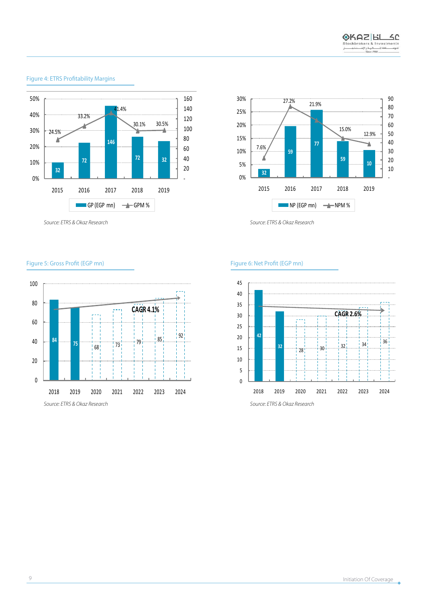

# Figure 4: ETRS Profitability Margins

*Source: ETRS & Okaz Research* 

30% 90 21.9% 27.2% 80 25% 70 20% 60 15.0% 50 12.9% 15% Y  **77** 40 Y) 7.6% 10%  **59** 30 Л  **59** 20 5%  **10** 10  **32** 0% - 2019 2018 2017 2016 2015  $\blacksquare$  NP (EGP mn)  $\rightarrow$  NPM %

**Source: ETRS & Okaz Research** 

#### Figure 5: Gross Profit (EGP mn) and EGP (Profit (EGP mn) and Egypte 5: Net Profit (EGP mn)



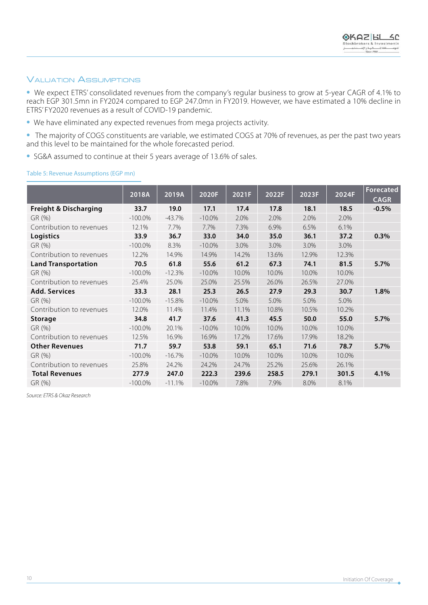# **VALUATION ASSUMPTIONS**

• We expect ETRS' consolidated revenues from the company's regular business to grow at 5-year CAGR of 4.1% to reach EGP 301.5mn in FY2024 compared to EGP 247.0mn in FY2019. However, we have estimated a 10% decline in ETRS' FY2020 revenues as a result of COVID-19 pandemic.

- We have eliminated any expected revenues from mega projects activity.
- The majority of COGS constituents are variable, we estimated COGS at 70% of revenues, as per the past two years and this level to be maintained for the whole forecasted period.
- SG&A assumed to continue at their 5 years average of 13.6% of sales.

### Table 5: Revenue Assumptions (EGP mn)

|                                  |            |          | 2020F<br>2022F<br>2023F<br>2024F<br>2021F |       |       |       |       | <b>Forecated</b> |
|----------------------------------|------------|----------|-------------------------------------------|-------|-------|-------|-------|------------------|
|                                  | 2018A      | 2019A    |                                           |       |       |       |       | <b>CAGR</b>      |
| <b>Freight &amp; Discharging</b> | 33.7       | 19.0     | 17.1                                      | 17.4  | 17.8  | 18.1  | 18.5  | $-0.5%$          |
| GR (%)                           | $-100.0\%$ | $-43.7%$ | $-10.0%$                                  | 2.0%  | 2.0%  | 2.0%  | 2.0%  |                  |
| Contribution to revenues         | 12.1%      | 7.7%     | 7.7%                                      | 7.3%  | 6.9%  | 6.5%  | 6.1%  |                  |
| Logistics                        | 33.9       | 36.7     | 33.0                                      | 34.0  | 35.0  | 36.1  | 37.2  | 0.3%             |
| GR (%)                           | $-100.0\%$ | 8.3%     | $-10.0\%$                                 | 3.0%  | 3.0%  | 3.0%  | 3.0%  |                  |
| Contribution to revenues         | 12.2%      | 14.9%    | 14.9%                                     | 14.2% | 13.6% | 12.9% | 12.3% |                  |
| <b>Land Transportation</b>       | 70.5       | 61.8     | 55.6                                      | 61.2  | 67.3  | 74.1  | 81.5  | 5.7%             |
| GR (%)                           | $-100.0\%$ | $-12.3%$ | $-10.0\%$                                 | 10.0% | 10.0% | 10.0% | 10.0% |                  |
| Contribution to revenues         | 25.4%      | 25.0%    | 25.0%                                     | 25.5% | 26.0% | 26.5% | 27.0% |                  |
| <b>Add. Services</b>             | 33.3       | 28.1     | 25.3                                      | 26.5  | 27.9  | 29.3  | 30.7  | 1.8%             |
| GR (%)                           | $-100.0\%$ | $-15.8%$ | $-10.0\%$                                 | 5.0%  | 5.0%  | 5.0%  | 5.0%  |                  |
| Contribution to revenues         | 12.0%      | 11.4%    | 11.4%                                     | 11.1% | 10.8% | 10.5% | 10.2% |                  |
| <b>Storage</b>                   | 34.8       | 41.7     | 37.6                                      | 41.3  | 45.5  | 50.0  | 55.0  | 5.7%             |
| GR (%)                           | $-100.0\%$ | 20.1%    | $-10.0\%$                                 | 10.0% | 10.0% | 10.0% | 10.0% |                  |
| Contribution to revenues         | 12.5%      | 16.9%    | 16.9%                                     | 17.2% | 17.6% | 17.9% | 18.2% |                  |
| <b>Other Revenues</b>            | 71.7       | 59.7     | 53.8                                      | 59.1  | 65.1  | 71.6  | 78.7  | 5.7%             |
| GR (%)                           | $-100.0\%$ | $-16.7%$ | $-10.0\%$                                 | 10.0% | 10.0% | 10.0% | 10.0% |                  |
| Contribution to revenues         | 25.8%      | 24.2%    | 24.2%                                     | 24.7% | 25.2% | 25.6% | 26.1% |                  |
| <b>Total Revenues</b>            | 277.9      | 247.0    | 222.3                                     | 239.6 | 258.5 | 279.1 | 301.5 | 4.1%             |
| GR (%)                           | $-100.0\%$ | $-11.1%$ | $-10.0\%$                                 | 7.8%  | 7.9%  | 8.0%  | 8.1%  |                  |

**Source: ETRS & Okaz Research**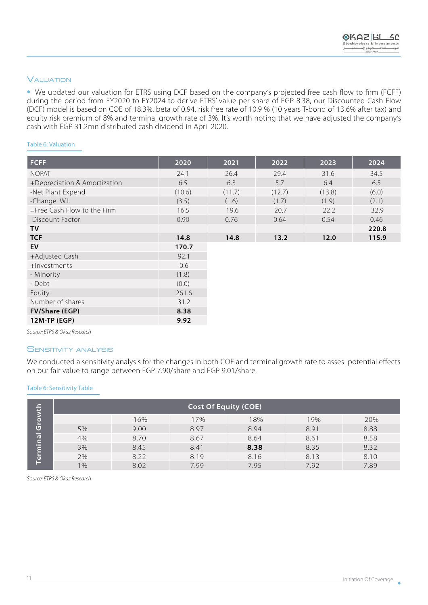# **VALUATION**

• We updated our valuation for ETRS using DCF based on the company's projected free cash flow to firm (FCFF) during the period from FY2020 to FY2024 to derive ETRS' value per share of EGP 8.38, our Discounted Cash Flow (DCF) model is based on COE of 18.3%, beta of 0.94, risk free rate of 10.9 % (10 years T-bond of 13.6% after tax) and equity risk premium of 8% and terminal growth rate of 3%. It's worth noting that we have adjusted the company's cash with EGP 31.2mn distributed cash dividend in April 2020.

#### Table 6: Valuation

| <b>FCFF</b>                    | 2020   | 2021   | 2022   | 2023   | 2024  |
|--------------------------------|--------|--------|--------|--------|-------|
| <b>NOPAT</b>                   | 24.1   | 26.4   | 29.4   | 31.6   | 34.5  |
| +Depreciation & Amortization   | 6.5    | 6.3    | 5.7    | 6.4    | 6.5   |
| -Net Plant Expend.             | (10.6) | (11.7) | (12.7) | (13.8) | (6.0) |
| -Change W.I.                   | (3.5)  | (1.6)  | (1.7)  | (1.9)  | (2.1) |
| $=$ Free Cash Flow to the Firm | 16.5   | 19.6   | 20.7   | 22.2   | 32.9  |
| Discount Factor                | 0.90   | 0.76   | 0.64   | 0.54   | 0.46  |
| TV                             |        |        |        |        | 220.8 |
| <b>TCF</b>                     | 14.8   | 14.8   | 13.2   | 12.0   | 115.9 |
| EV                             | 170.7  |        |        |        |       |
| +Adjusted Cash                 | 92.1   |        |        |        |       |
| +Investments                   | 0.6    |        |        |        |       |
| - Minority                     | (1.8)  |        |        |        |       |
| - Debt                         | (0.0)  |        |        |        |       |
| Equity                         | 261.6  |        |        |        |       |
| Number of shares               | 31.2   |        |        |        |       |
| FV/Share (EGP)                 | 8.38   |        |        |        |       |
| $12M-TP$ (EGP)                 | 9.92   |        |        |        |       |

*Source: FTRS & Okaz Research* 

# **SENSITIVITY ANALYSIS**

We conducted a sensitivity analysis for the changes in both COE and terminal growth rate to asses potential effects on our fair value to range between EGP 7.90/ share and EGP 9.01/ share.

#### Table 6: Sensitivity Table

| €        | <b>Cost Of Equity (COE)</b> |      |      |      |      |      |  |  |
|----------|-----------------------------|------|------|------|------|------|--|--|
| .<br>Сго |                             | 16%  | 17%  | 18%  | 19%  | 20%  |  |  |
|          | 5%                          | 9.00 | 8.97 | 8.94 | 8.91 | 8.88 |  |  |
| erminal  | 4%                          | 8.70 | 8.67 | 8.64 | 8.61 | 8.58 |  |  |
|          | 3%                          | 8.45 | 8.41 | 8.38 | 8.35 | 8.32 |  |  |
|          | 2%                          | 8.22 | 8.19 | 8.16 | 8.13 | 8.10 |  |  |
| s        | $1\%$                       | 8.02 | 7.99 | 7.95 | 7.92 | 7.89 |  |  |

*Source: FTRS & Okaz Research*